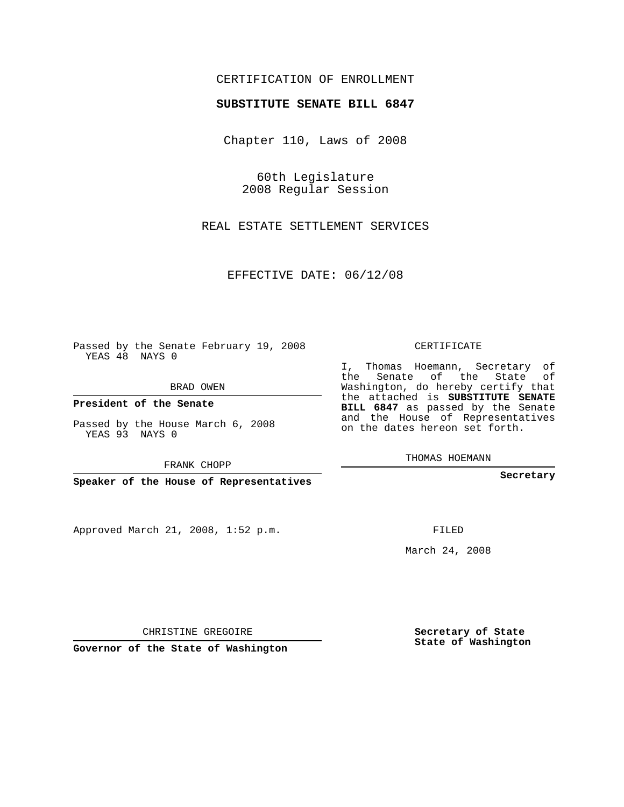## CERTIFICATION OF ENROLLMENT

### **SUBSTITUTE SENATE BILL 6847**

Chapter 110, Laws of 2008

60th Legislature 2008 Regular Session

REAL ESTATE SETTLEMENT SERVICES

EFFECTIVE DATE: 06/12/08

Passed by the Senate February 19, 2008 YEAS 48 NAYS 0

BRAD OWEN

**President of the Senate**

Passed by the House March 6, 2008 YEAS 93 NAYS 0

FRANK CHOPP

**Speaker of the House of Representatives**

Approved March 21, 2008, 1:52 p.m.

CERTIFICATE

I, Thomas Hoemann, Secretary of the Senate of the State of Washington, do hereby certify that the attached is **SUBSTITUTE SENATE BILL 6847** as passed by the Senate and the House of Representatives on the dates hereon set forth.

THOMAS HOEMANN

**Secretary**

FILED

March 24, 2008

**Secretary of State State of Washington**

CHRISTINE GREGOIRE

**Governor of the State of Washington**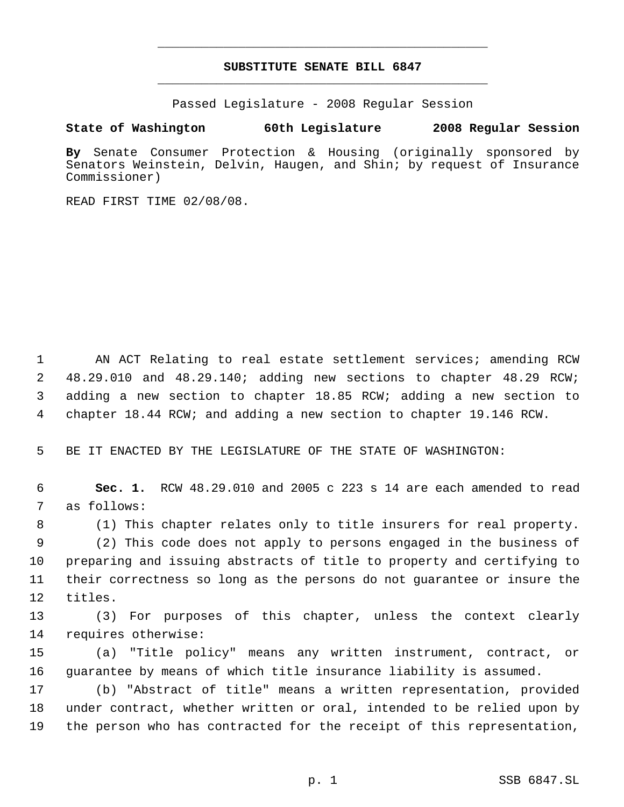# **SUBSTITUTE SENATE BILL 6847** \_\_\_\_\_\_\_\_\_\_\_\_\_\_\_\_\_\_\_\_\_\_\_\_\_\_\_\_\_\_\_\_\_\_\_\_\_\_\_\_\_\_\_\_\_

\_\_\_\_\_\_\_\_\_\_\_\_\_\_\_\_\_\_\_\_\_\_\_\_\_\_\_\_\_\_\_\_\_\_\_\_\_\_\_\_\_\_\_\_\_

Passed Legislature - 2008 Regular Session

### **State of Washington 60th Legislature 2008 Regular Session**

**By** Senate Consumer Protection & Housing (originally sponsored by Senators Weinstein, Delvin, Haugen, and Shin; by request of Insurance Commissioner)

READ FIRST TIME 02/08/08.

 AN ACT Relating to real estate settlement services; amending RCW 48.29.010 and 48.29.140; adding new sections to chapter 48.29 RCW; adding a new section to chapter 18.85 RCW; adding a new section to chapter 18.44 RCW; and adding a new section to chapter 19.146 RCW.

BE IT ENACTED BY THE LEGISLATURE OF THE STATE OF WASHINGTON:

 **Sec. 1.** RCW 48.29.010 and 2005 c 223 s 14 are each amended to read as follows:

(1) This chapter relates only to title insurers for real property.

 (2) This code does not apply to persons engaged in the business of preparing and issuing abstracts of title to property and certifying to their correctness so long as the persons do not guarantee or insure the titles.

 (3) For purposes of this chapter, unless the context clearly requires otherwise:

 (a) "Title policy" means any written instrument, contract, or guarantee by means of which title insurance liability is assumed.

 (b) "Abstract of title" means a written representation, provided under contract, whether written or oral, intended to be relied upon by the person who has contracted for the receipt of this representation,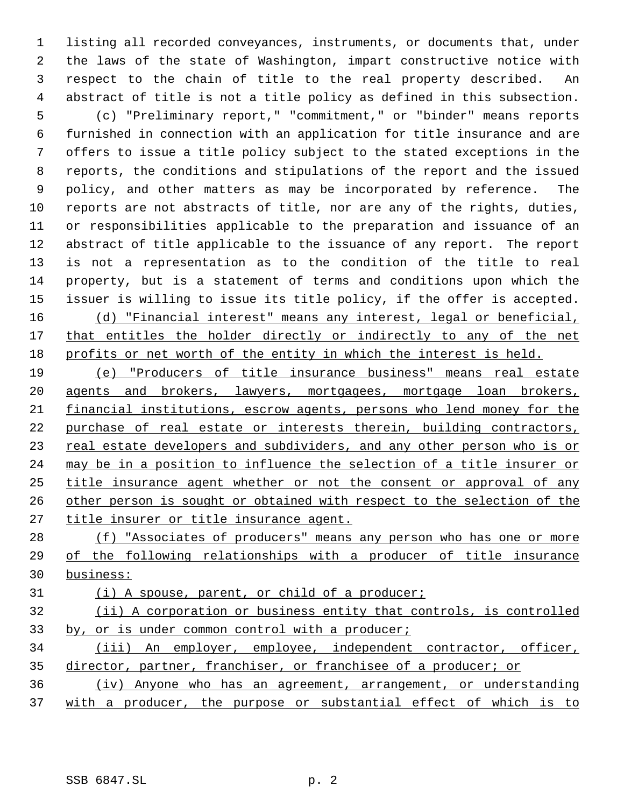listing all recorded conveyances, instruments, or documents that, under the laws of the state of Washington, impart constructive notice with respect to the chain of title to the real property described. An abstract of title is not a title policy as defined in this subsection.

 (c) "Preliminary report," "commitment," or "binder" means reports furnished in connection with an application for title insurance and are offers to issue a title policy subject to the stated exceptions in the reports, the conditions and stipulations of the report and the issued policy, and other matters as may be incorporated by reference. The reports are not abstracts of title, nor are any of the rights, duties, or responsibilities applicable to the preparation and issuance of an abstract of title applicable to the issuance of any report. The report is not a representation as to the condition of the title to real property, but is a statement of terms and conditions upon which the issuer is willing to issue its title policy, if the offer is accepted. (d) "Financial interest" means any interest, legal or beneficial, 17 that entitles the holder directly or indirectly to any of the net profits or net worth of the entity in which the interest is held.

 (e) "Producers of title insurance business" means real estate agents and brokers, lawyers, mortgagees, mortgage loan brokers, financial institutions, escrow agents, persons who lend money for the purchase of real estate or interests therein, building contractors, 23 real estate developers and subdividers, and any other person who is or may be in a position to influence the selection of a title insurer or title insurance agent whether or not the consent or approval of any other person is sought or obtained with respect to the selection of the title insurer or title insurance agent.

28 (f) "Associates of producers" means any person who has one or more of the following relationships with a producer of title insurance business:

(i) A spouse, parent, or child of a producer;

 (ii) A corporation or business entity that controls, is controlled 33 by, or is under common control with a producer;

 (iii) An employer, employee, independent contractor, officer, director, partner, franchiser, or franchisee of a producer; or

 (iv) Anyone who has an agreement, arrangement, or understanding with a producer, the purpose or substantial effect of which is to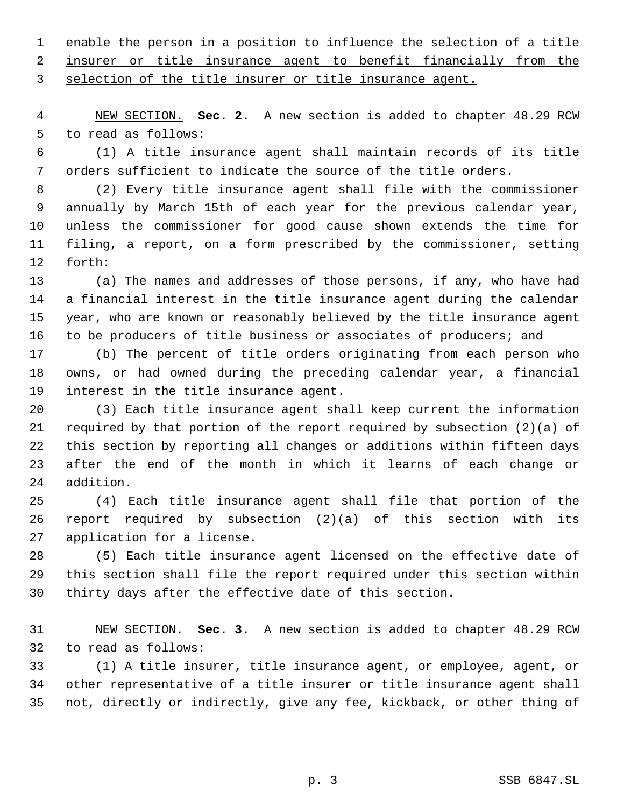enable the person in a position to influence the selection of a title

insurer or title insurance agent to benefit financially from the

selection of the title insurer or title insurance agent.

 NEW SECTION. **Sec. 2.** A new section is added to chapter 48.29 RCW to read as follows:

 (1) A title insurance agent shall maintain records of its title orders sufficient to indicate the source of the title orders.

 (2) Every title insurance agent shall file with the commissioner annually by March 15th of each year for the previous calendar year, unless the commissioner for good cause shown extends the time for filing, a report, on a form prescribed by the commissioner, setting forth:

 (a) The names and addresses of those persons, if any, who have had a financial interest in the title insurance agent during the calendar year, who are known or reasonably believed by the title insurance agent 16 to be producers of title business or associates of producers; and

 (b) The percent of title orders originating from each person who owns, or had owned during the preceding calendar year, a financial interest in the title insurance agent.

 (3) Each title insurance agent shall keep current the information required by that portion of the report required by subsection (2)(a) of this section by reporting all changes or additions within fifteen days after the end of the month in which it learns of each change or addition.

 (4) Each title insurance agent shall file that portion of the report required by subsection (2)(a) of this section with its application for a license.

 (5) Each title insurance agent licensed on the effective date of this section shall file the report required under this section within thirty days after the effective date of this section.

 NEW SECTION. **Sec. 3.** A new section is added to chapter 48.29 RCW to read as follows:

 (1) A title insurer, title insurance agent, or employee, agent, or other representative of a title insurer or title insurance agent shall not, directly or indirectly, give any fee, kickback, or other thing of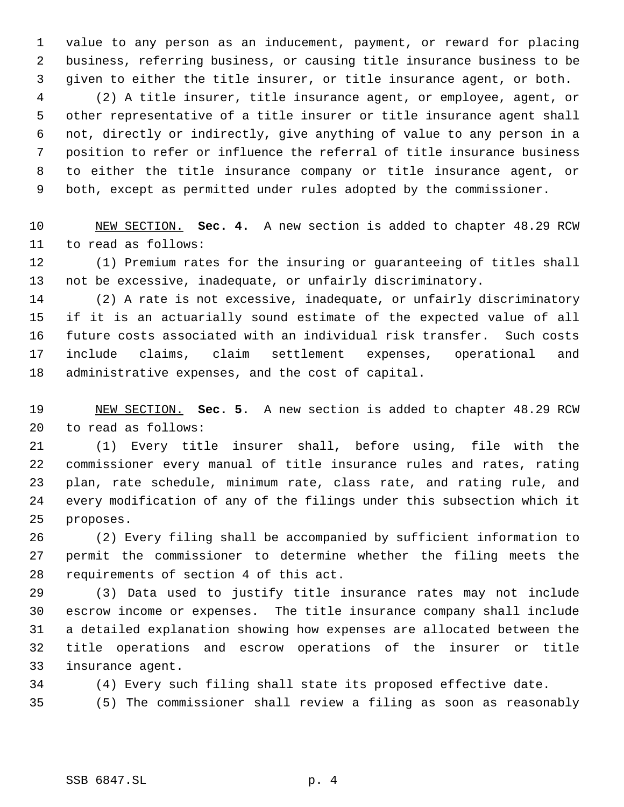value to any person as an inducement, payment, or reward for placing business, referring business, or causing title insurance business to be given to either the title insurer, or title insurance agent, or both.

 (2) A title insurer, title insurance agent, or employee, agent, or other representative of a title insurer or title insurance agent shall not, directly or indirectly, give anything of value to any person in a position to refer or influence the referral of title insurance business to either the title insurance company or title insurance agent, or both, except as permitted under rules adopted by the commissioner.

 NEW SECTION. **Sec. 4.** A new section is added to chapter 48.29 RCW to read as follows:

 (1) Premium rates for the insuring or guaranteeing of titles shall not be excessive, inadequate, or unfairly discriminatory.

 (2) A rate is not excessive, inadequate, or unfairly discriminatory if it is an actuarially sound estimate of the expected value of all future costs associated with an individual risk transfer. Such costs include claims, claim settlement expenses, operational and administrative expenses, and the cost of capital.

 NEW SECTION. **Sec. 5.** A new section is added to chapter 48.29 RCW to read as follows:

 (1) Every title insurer shall, before using, file with the commissioner every manual of title insurance rules and rates, rating plan, rate schedule, minimum rate, class rate, and rating rule, and every modification of any of the filings under this subsection which it proposes.

 (2) Every filing shall be accompanied by sufficient information to permit the commissioner to determine whether the filing meets the requirements of section 4 of this act.

 (3) Data used to justify title insurance rates may not include escrow income or expenses. The title insurance company shall include a detailed explanation showing how expenses are allocated between the title operations and escrow operations of the insurer or title insurance agent.

(4) Every such filing shall state its proposed effective date.

(5) The commissioner shall review a filing as soon as reasonably

SSB 6847.SL p. 4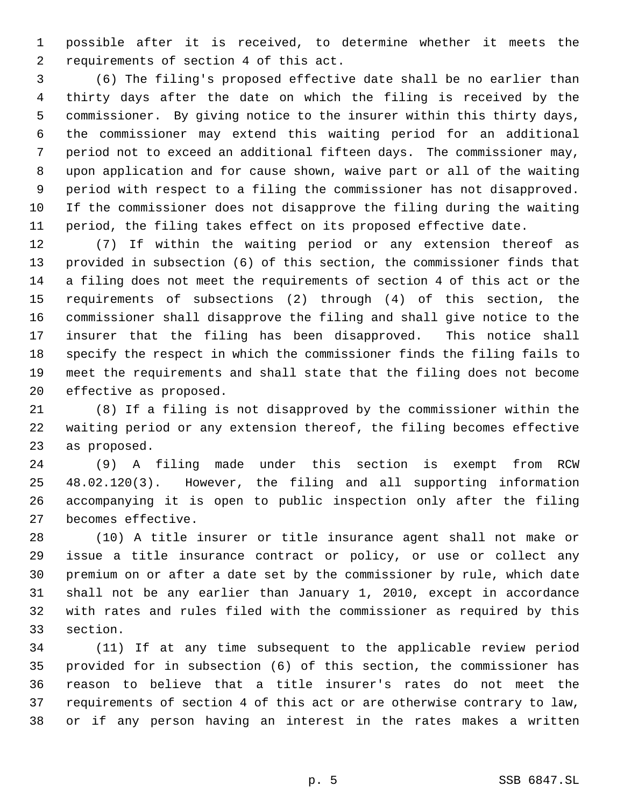possible after it is received, to determine whether it meets the requirements of section 4 of this act.

 (6) The filing's proposed effective date shall be no earlier than thirty days after the date on which the filing is received by the commissioner. By giving notice to the insurer within this thirty days, the commissioner may extend this waiting period for an additional period not to exceed an additional fifteen days. The commissioner may, upon application and for cause shown, waive part or all of the waiting period with respect to a filing the commissioner has not disapproved. If the commissioner does not disapprove the filing during the waiting period, the filing takes effect on its proposed effective date.

 (7) If within the waiting period or any extension thereof as provided in subsection (6) of this section, the commissioner finds that a filing does not meet the requirements of section 4 of this act or the requirements of subsections (2) through (4) of this section, the commissioner shall disapprove the filing and shall give notice to the insurer that the filing has been disapproved. This notice shall specify the respect in which the commissioner finds the filing fails to meet the requirements and shall state that the filing does not become effective as proposed.

 (8) If a filing is not disapproved by the commissioner within the waiting period or any extension thereof, the filing becomes effective as proposed.

 (9) A filing made under this section is exempt from RCW 48.02.120(3). However, the filing and all supporting information accompanying it is open to public inspection only after the filing becomes effective.

 (10) A title insurer or title insurance agent shall not make or issue a title insurance contract or policy, or use or collect any premium on or after a date set by the commissioner by rule, which date shall not be any earlier than January 1, 2010, except in accordance with rates and rules filed with the commissioner as required by this section.

 (11) If at any time subsequent to the applicable review period provided for in subsection (6) of this section, the commissioner has reason to believe that a title insurer's rates do not meet the requirements of section 4 of this act or are otherwise contrary to law, or if any person having an interest in the rates makes a written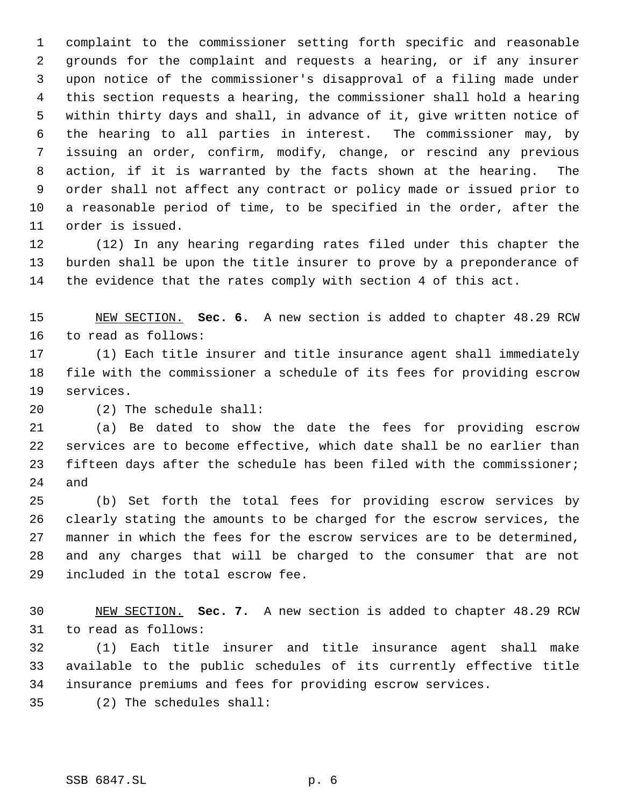complaint to the commissioner setting forth specific and reasonable grounds for the complaint and requests a hearing, or if any insurer upon notice of the commissioner's disapproval of a filing made under this section requests a hearing, the commissioner shall hold a hearing within thirty days and shall, in advance of it, give written notice of the hearing to all parties in interest. The commissioner may, by issuing an order, confirm, modify, change, or rescind any previous action, if it is warranted by the facts shown at the hearing. The order shall not affect any contract or policy made or issued prior to a reasonable period of time, to be specified in the order, after the order is issued.

 (12) In any hearing regarding rates filed under this chapter the burden shall be upon the title insurer to prove by a preponderance of the evidence that the rates comply with section 4 of this act.

 NEW SECTION. **Sec. 6.** A new section is added to chapter 48.29 RCW to read as follows:

 (1) Each title insurer and title insurance agent shall immediately file with the commissioner a schedule of its fees for providing escrow services.

(2) The schedule shall:

 (a) Be dated to show the date the fees for providing escrow services are to become effective, which date shall be no earlier than fifteen days after the schedule has been filed with the commissioner; and

 (b) Set forth the total fees for providing escrow services by clearly stating the amounts to be charged for the escrow services, the manner in which the fees for the escrow services are to be determined, and any charges that will be charged to the consumer that are not included in the total escrow fee.

 NEW SECTION. **Sec. 7.** A new section is added to chapter 48.29 RCW to read as follows:

 (1) Each title insurer and title insurance agent shall make available to the public schedules of its currently effective title insurance premiums and fees for providing escrow services.

(2) The schedules shall: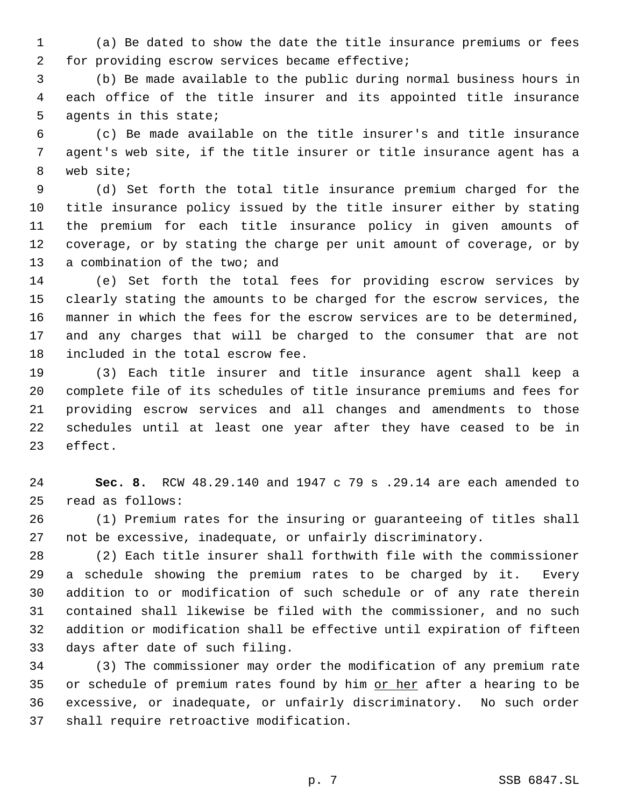(a) Be dated to show the date the title insurance premiums or fees for providing escrow services became effective;

 (b) Be made available to the public during normal business hours in each office of the title insurer and its appointed title insurance agents in this state;

 (c) Be made available on the title insurer's and title insurance agent's web site, if the title insurer or title insurance agent has a web site;

 (d) Set forth the total title insurance premium charged for the title insurance policy issued by the title insurer either by stating the premium for each title insurance policy in given amounts of coverage, or by stating the charge per unit amount of coverage, or by 13 a combination of the two; and

 (e) Set forth the total fees for providing escrow services by clearly stating the amounts to be charged for the escrow services, the manner in which the fees for the escrow services are to be determined, and any charges that will be charged to the consumer that are not included in the total escrow fee.

 (3) Each title insurer and title insurance agent shall keep a complete file of its schedules of title insurance premiums and fees for providing escrow services and all changes and amendments to those schedules until at least one year after they have ceased to be in effect.

 **Sec. 8.** RCW 48.29.140 and 1947 c 79 s .29.14 are each amended to read as follows:

 (1) Premium rates for the insuring or guaranteeing of titles shall not be excessive, inadequate, or unfairly discriminatory.

 (2) Each title insurer shall forthwith file with the commissioner a schedule showing the premium rates to be charged by it. Every addition to or modification of such schedule or of any rate therein contained shall likewise be filed with the commissioner, and no such addition or modification shall be effective until expiration of fifteen days after date of such filing.

 (3) The commissioner may order the modification of any premium rate or schedule of premium rates found by him or her after a hearing to be excessive, or inadequate, or unfairly discriminatory. No such order shall require retroactive modification.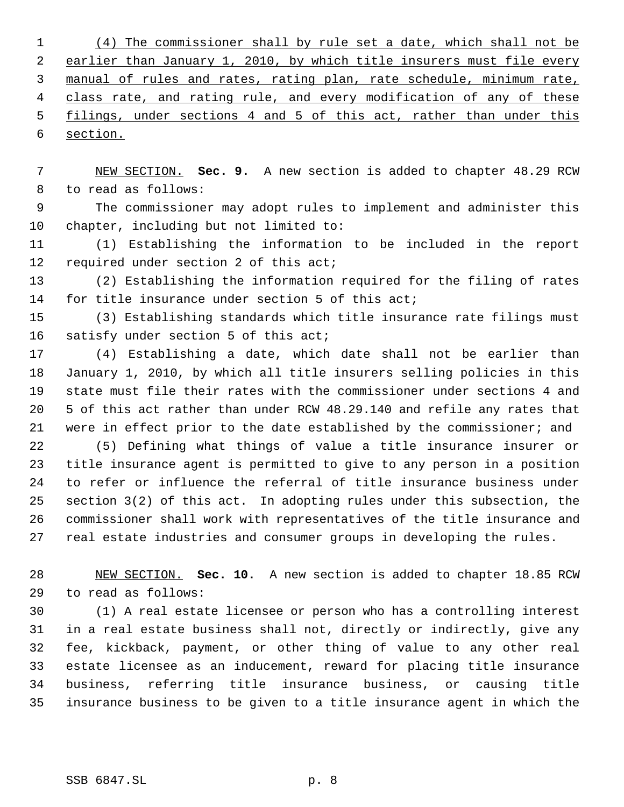(4) The commissioner shall by rule set a date, which shall not be earlier than January 1, 2010, by which title insurers must file every manual of rules and rates, rating plan, rate schedule, minimum rate, 4 class rate, and rating rule, and every modification of any of these 5 filings, under sections 4 and 5 of this act, rather than under this section.

 NEW SECTION. **Sec. 9.** A new section is added to chapter 48.29 RCW to read as follows:

 The commissioner may adopt rules to implement and administer this chapter, including but not limited to:

 (1) Establishing the information to be included in the report required under section 2 of this act;

 (2) Establishing the information required for the filing of rates for title insurance under section 5 of this act;

 (3) Establishing standards which title insurance rate filings must 16 satisfy under section 5 of this act;

 (4) Establishing a date, which date shall not be earlier than January 1, 2010, by which all title insurers selling policies in this state must file their rates with the commissioner under sections 4 and 5 of this act rather than under RCW 48.29.140 and refile any rates that were in effect prior to the date established by the commissioner; and

 (5) Defining what things of value a title insurance insurer or title insurance agent is permitted to give to any person in a position to refer or influence the referral of title insurance business under section 3(2) of this act. In adopting rules under this subsection, the commissioner shall work with representatives of the title insurance and real estate industries and consumer groups in developing the rules.

 NEW SECTION. **Sec. 10.** A new section is added to chapter 18.85 RCW to read as follows:

 (1) A real estate licensee or person who has a controlling interest in a real estate business shall not, directly or indirectly, give any fee, kickback, payment, or other thing of value to any other real estate licensee as an inducement, reward for placing title insurance business, referring title insurance business, or causing title insurance business to be given to a title insurance agent in which the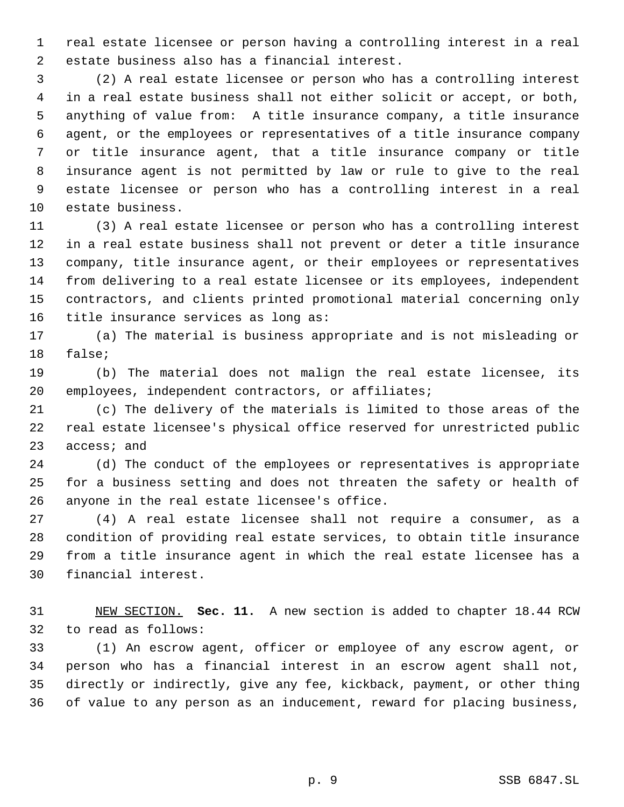real estate licensee or person having a controlling interest in a real estate business also has a financial interest.

 (2) A real estate licensee or person who has a controlling interest in a real estate business shall not either solicit or accept, or both, anything of value from: A title insurance company, a title insurance agent, or the employees or representatives of a title insurance company or title insurance agent, that a title insurance company or title insurance agent is not permitted by law or rule to give to the real estate licensee or person who has a controlling interest in a real estate business.

 (3) A real estate licensee or person who has a controlling interest in a real estate business shall not prevent or deter a title insurance company, title insurance agent, or their employees or representatives from delivering to a real estate licensee or its employees, independent contractors, and clients printed promotional material concerning only title insurance services as long as:

 (a) The material is business appropriate and is not misleading or false;

 (b) The material does not malign the real estate licensee, its employees, independent contractors, or affiliates;

 (c) The delivery of the materials is limited to those areas of the real estate licensee's physical office reserved for unrestricted public access; and

 (d) The conduct of the employees or representatives is appropriate for a business setting and does not threaten the safety or health of anyone in the real estate licensee's office.

 (4) A real estate licensee shall not require a consumer, as a condition of providing real estate services, to obtain title insurance from a title insurance agent in which the real estate licensee has a financial interest.

 NEW SECTION. **Sec. 11.** A new section is added to chapter 18.44 RCW to read as follows:

 (1) An escrow agent, officer or employee of any escrow agent, or person who has a financial interest in an escrow agent shall not, directly or indirectly, give any fee, kickback, payment, or other thing of value to any person as an inducement, reward for placing business,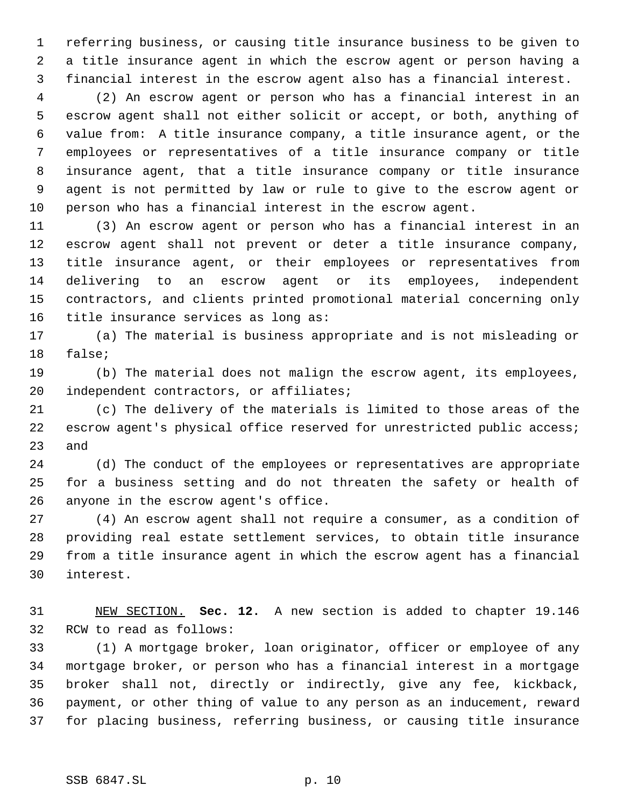referring business, or causing title insurance business to be given to a title insurance agent in which the escrow agent or person having a financial interest in the escrow agent also has a financial interest.

 (2) An escrow agent or person who has a financial interest in an escrow agent shall not either solicit or accept, or both, anything of value from: A title insurance company, a title insurance agent, or the employees or representatives of a title insurance company or title insurance agent, that a title insurance company or title insurance agent is not permitted by law or rule to give to the escrow agent or person who has a financial interest in the escrow agent.

 (3) An escrow agent or person who has a financial interest in an escrow agent shall not prevent or deter a title insurance company, title insurance agent, or their employees or representatives from delivering to an escrow agent or its employees, independent contractors, and clients printed promotional material concerning only title insurance services as long as:

 (a) The material is business appropriate and is not misleading or false;

 (b) The material does not malign the escrow agent, its employees, independent contractors, or affiliates;

 (c) The delivery of the materials is limited to those areas of the 22 escrow agent's physical office reserved for unrestricted public access; and

 (d) The conduct of the employees or representatives are appropriate for a business setting and do not threaten the safety or health of anyone in the escrow agent's office.

 (4) An escrow agent shall not require a consumer, as a condition of providing real estate settlement services, to obtain title insurance from a title insurance agent in which the escrow agent has a financial interest.

 NEW SECTION. **Sec. 12.** A new section is added to chapter 19.146 RCW to read as follows:

 (1) A mortgage broker, loan originator, officer or employee of any mortgage broker, or person who has a financial interest in a mortgage broker shall not, directly or indirectly, give any fee, kickback, payment, or other thing of value to any person as an inducement, reward for placing business, referring business, or causing title insurance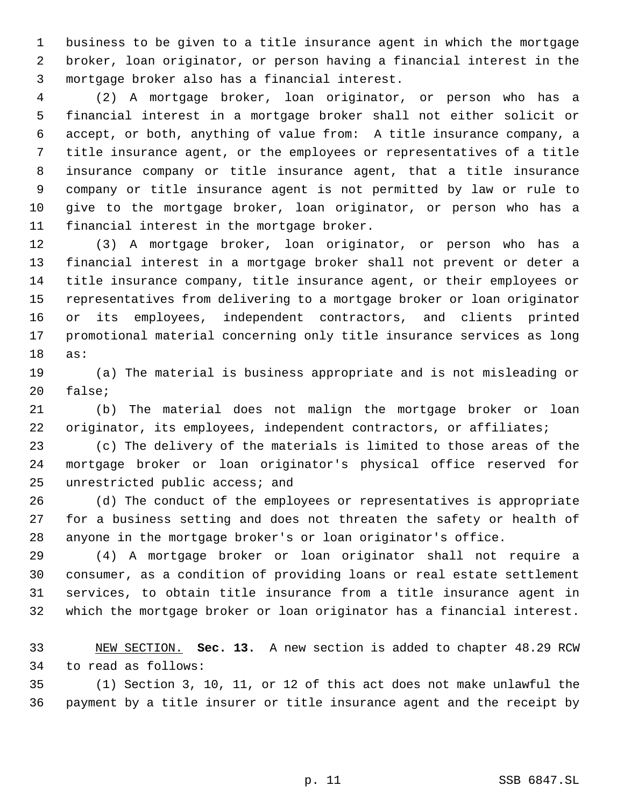business to be given to a title insurance agent in which the mortgage broker, loan originator, or person having a financial interest in the mortgage broker also has a financial interest.

 (2) A mortgage broker, loan originator, or person who has a financial interest in a mortgage broker shall not either solicit or accept, or both, anything of value from: A title insurance company, a title insurance agent, or the employees or representatives of a title insurance company or title insurance agent, that a title insurance company or title insurance agent is not permitted by law or rule to give to the mortgage broker, loan originator, or person who has a financial interest in the mortgage broker.

 (3) A mortgage broker, loan originator, or person who has a financial interest in a mortgage broker shall not prevent or deter a title insurance company, title insurance agent, or their employees or representatives from delivering to a mortgage broker or loan originator or its employees, independent contractors, and clients printed promotional material concerning only title insurance services as long as:

 (a) The material is business appropriate and is not misleading or false;

 (b) The material does not malign the mortgage broker or loan originator, its employees, independent contractors, or affiliates;

 (c) The delivery of the materials is limited to those areas of the mortgage broker or loan originator's physical office reserved for unrestricted public access; and

 (d) The conduct of the employees or representatives is appropriate for a business setting and does not threaten the safety or health of anyone in the mortgage broker's or loan originator's office.

 (4) A mortgage broker or loan originator shall not require a consumer, as a condition of providing loans or real estate settlement services, to obtain title insurance from a title insurance agent in which the mortgage broker or loan originator has a financial interest.

 NEW SECTION. **Sec. 13.** A new section is added to chapter 48.29 RCW to read as follows:

 (1) Section 3, 10, 11, or 12 of this act does not make unlawful the payment by a title insurer or title insurance agent and the receipt by